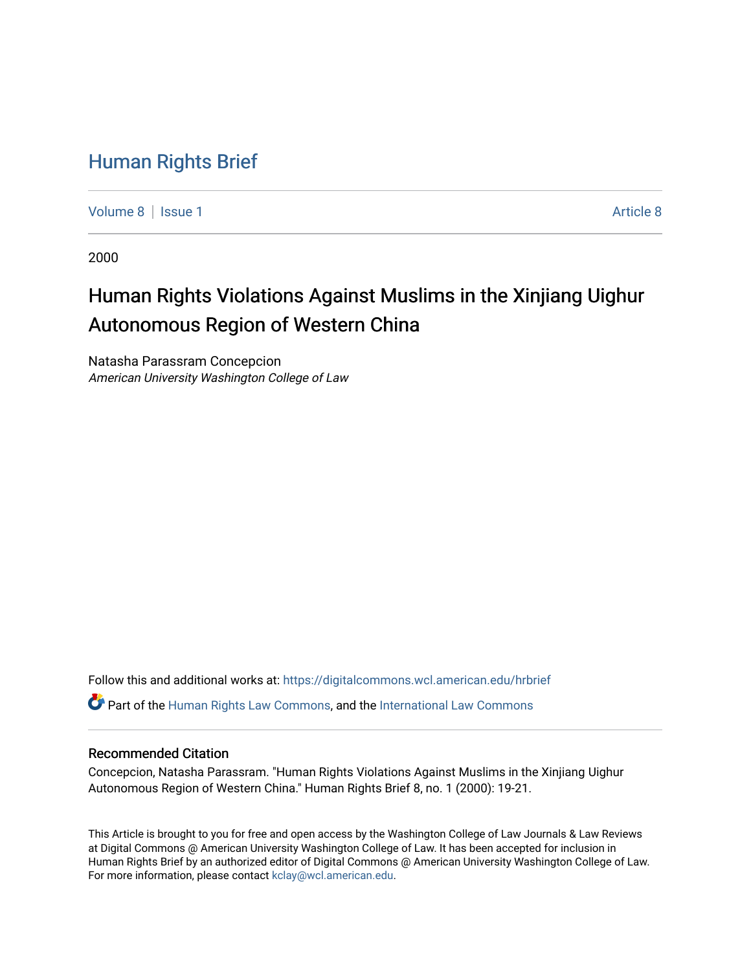## [Human Rights Brief](https://digitalcommons.wcl.american.edu/hrbrief)

[Volume 8](https://digitalcommons.wcl.american.edu/hrbrief/vol8) | [Issue 1](https://digitalcommons.wcl.american.edu/hrbrief/vol8/iss1) [Article 8](https://digitalcommons.wcl.american.edu/hrbrief/vol8/iss1/8) | Article 8 | Article 8 | Article 8 | Article 8 | Article 8 | Article 8 | Article 8 | Article 8 | Article 8 | Article 8 | Article 8 | Article 8 | Article 8 | Article 8 | Article 8 | Article 8 |

2000

# Human Rights Violations Against Muslims in the Xinjiang Uighur Autonomous Region of Western China

Natasha Parassram Concepcion American University Washington College of Law

Follow this and additional works at: [https://digitalcommons.wcl.american.edu/hrbrief](https://digitalcommons.wcl.american.edu/hrbrief?utm_source=digitalcommons.wcl.american.edu%2Fhrbrief%2Fvol8%2Fiss1%2F8&utm_medium=PDF&utm_campaign=PDFCoverPages) 

Part of the [Human Rights Law Commons,](http://network.bepress.com/hgg/discipline/847?utm_source=digitalcommons.wcl.american.edu%2Fhrbrief%2Fvol8%2Fiss1%2F8&utm_medium=PDF&utm_campaign=PDFCoverPages) and the [International Law Commons](http://network.bepress.com/hgg/discipline/609?utm_source=digitalcommons.wcl.american.edu%2Fhrbrief%2Fvol8%2Fiss1%2F8&utm_medium=PDF&utm_campaign=PDFCoverPages) 

### Recommended Citation

Concepcion, Natasha Parassram. "Human Rights Violations Against Muslims in the Xinjiang Uighur Autonomous Region of Western China." Human Rights Brief 8, no. 1 (2000): 19-21.

This Article is brought to you for free and open access by the Washington College of Law Journals & Law Reviews at Digital Commons @ American University Washington College of Law. It has been accepted for inclusion in Human Rights Brief by an authorized editor of Digital Commons @ American University Washington College of Law. For more information, please contact [kclay@wcl.american.edu.](mailto:kclay@wcl.american.edu)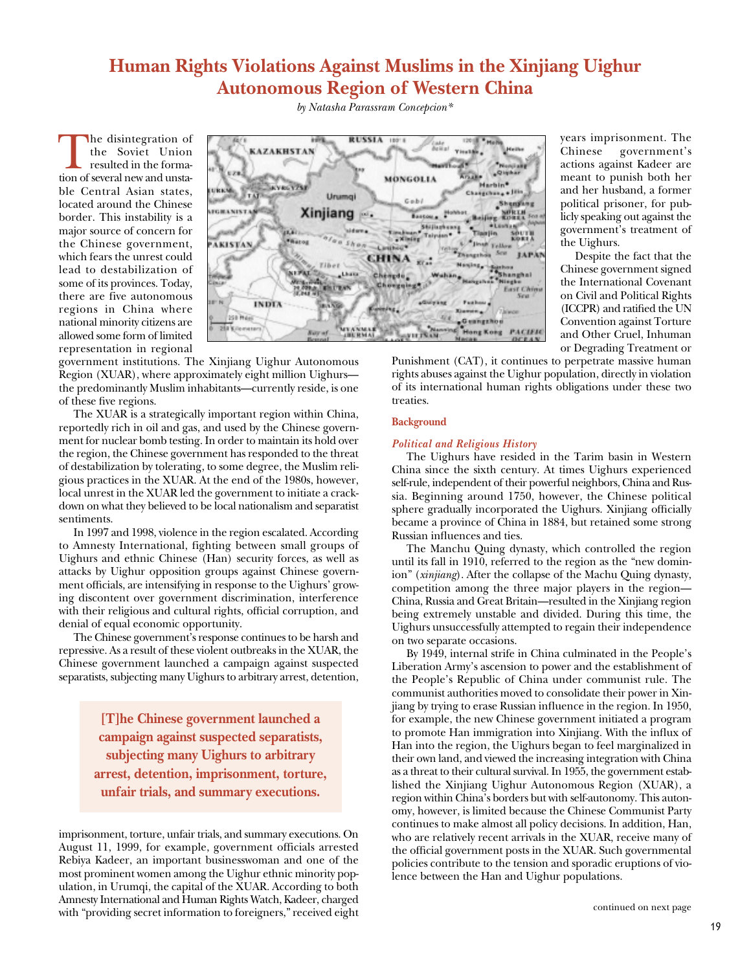## **Human Rights Violations Against Muslims in the Xinjiang Uighur Autonomous Region of Western China**

The disintegration of<br>the Soviet Union<br>resulted in the forma-<br>tion of several new and unstathe Soviet Union resulted in the formable Central Asian states, located around the Chinese border. This instability is a major source of concern for the Chinese government, which fears the unrest could lead to destabilization of some of its provinces. Today, there are five autonomous regions in China where national minority citizens are allowed some form of limited representation in regional



government institutions. The Xinjiang Uighur Autonomous Region (XUAR), where approximately eight million Uighurs the predominantly Muslim inhabitants—currently reside, is one of these five regions.

The XUAR is a strategically important region within China, reportedly rich in oil and gas, and used by the Chinese government for nuclear bomb testing. In order to maintain its hold over the region, the Chinese government has responded to the threat of destabilization by tolerating, to some degree, the Muslim religious practices in the XUAR. At the end of the 1980s, however, local unrest in the XUAR led the government to initiate a crackdown on what they believed to be local nationalism and separatist sentiments.

In 1997 and 1998, violence in the region escalated. According to Amnesty International, fighting between small groups of Uighurs and ethnic Chinese (Han) security forces, as well as attacks by Uighur opposition groups against Chinese government officials, are intensifying in response to the Uighurs' growing discontent over government discrimination, interference with their religious and cultural rights, official corruption, and denial of equal economic opportunity.

The Chinese government's response continues to be harsh and repressive. As a result of these violent outbreaks in the XUAR, the Chinese government launched a campaign against suspected separatists, subjecting many Uighurs to arbitrary arrest, detention,

> **[T]he Chinese government launched a campaign against suspected separatists, subjecting many Uighurs to arbitrary arrest, detention, imprisonment, torture, unfair trials, and summary executions.**

imprisonment, torture, unfair trials, and summary executions. On August 11, 1999, for example, government officials arrested Rebiya Kadeer, an important businesswoman and one of the most prominent women among the Uighur ethnic minority population, in Urumqi, the capital of the XUAR. According to both Amnesty International and Human Rights Watch, Kadeer, charged with "providing secret information to foreigners," received eight

*by Natasha Parassram Concepcion\**

actions against Kadeer are meant to punish both her and her husband, a former political prisoner, for publicly speaking out against the government's treatment of the Uighurs. Despite the fact that the Chinese government signed the International Covenant on Civil and Political Rights

years imprisonment. The Chinese government's

(ICCPR) and ratified the UN Convention against Torture and Other Cruel, Inhuman or Degrading Treatment or

Punishment (CAT), it continues to perpetrate massive human rights abuses against the Uighur population, directly in violation of its international human rights obligations under these two treaties.

#### **Background**

#### *Political and Religious History*

The Uighurs have resided in the Tarim basin in Western China since the sixth century. At times Uighurs experienced self-rule, independent of their powerful neighbors, China and Russia. Beginning around 1750, however, the Chinese political sphere gradually incorporated the Uighurs. Xinjiang officially became a province of China in 1884, but retained some strong Russian influences and ties.

The Manchu Quing dynasty, which controlled the region until its fall in 1910, referred to the region as the "new dominion" (*xinjiang*). After the collapse of the Machu Quing dynasty, competition among the three major players in the region— China, Russia and Great Britain—resulted in the Xinjiang region being extremely unstable and divided. During this time, the Uighurs unsuccessfully attempted to regain their independence on two separate occasions.

By 1949, internal strife in China culminated in the People's Liberation Army's ascension to power and the establishment of the People's Republic of China under communist rule. The communist authorities moved to consolidate their power in Xinjiang by trying to erase Russian influence in the region. In 1950, for example, the new Chinese government initiated a program to promote Han immigration into Xinjiang. With the influx of Han into the region, the Uighurs began to feel marginalized in their own land, and viewed the increasing integration with China as a threat to their cultural survival. In 1955, the government established the Xinjiang Uighur Autonomous Region (XUAR), a region within China's borders but with self-autonomy. This autonomy, however, is limited because the Chinese Communist Party continues to make almost all policy decisions. In addition, Han, who are relatively recent arrivals in the XUAR, receive many of the official government posts in the XUAR. Such governmental policies contribute to the tension and sporadic eruptions of violence between the Han and Uighur populations.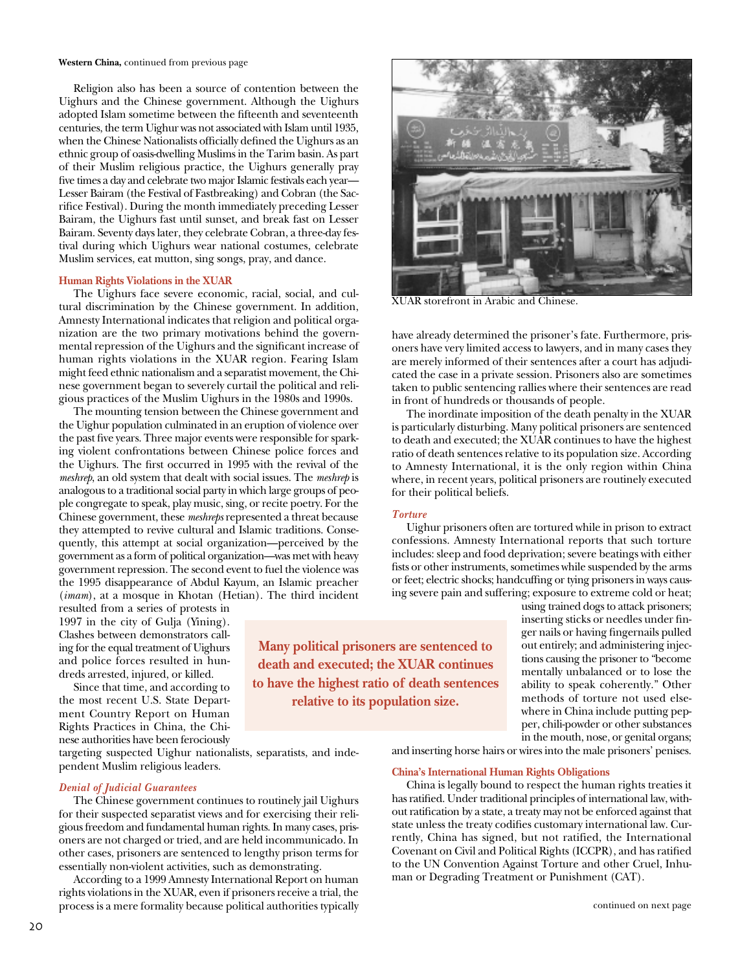**Western China,** continued from previous page

Religion also has been a source of contention between the Uighurs and the Chinese government. Although the Uighurs adopted Islam sometime between the fifteenth and seventeenth centuries, the term Uighur was not associated with Islam until 1935, when the Chinese Nationalists officially defined the Uighurs as an ethnic group of oasis-dwelling Muslims in the Tarim basin. As part of their Muslim religious practice, the Uighurs generally pray five times a day and celebrate two major Islamic festivals each year— Lesser Bairam (the Festival of Fastbreaking) and Cobran (the Sacrifice Festival). During the month immediately preceding Lesser Bairam, the Uighurs fast until sunset, and break fast on Lesser Bairam. Seventy days later, they celebrate Cobran, a three-day festival during which Uighurs wear national costumes, celebrate Muslim services, eat mutton, sing songs, pray, and dance.

#### **Human Rights Violations in the XUAR**

The Uighurs face severe economic, racial, social, and cultural discrimination by the Chinese government. In addition, Amnesty International indicates that religion and political organization are the two primary motivations behind the governmental repression of the Uighurs and the significant increase of human rights violations in the XUAR region. Fearing Islam might feed ethnic nationalism and a separatist movement, the Chinese government began to severely curtail the political and religious practices of the Muslim Uighurs in the 1980s and 1990s.

The mounting tension between the Chinese government and the Uighur population culminated in an eruption of violence over the past five years. Three major events were responsible for sparking violent confrontations between Chinese police forces and the Uighurs. The first occurred in 1995 with the revival of the *meshrep*, an old system that dealt with social issues. The *meshrep* is analogous to a traditional social party in which large groups of people congregate to speak, play music, sing, or recite poetry. For the Chinese government, these *meshreps* represented a threat because they attempted to revive cultural and Islamic traditions. Consequently, this attempt at social organization—perceived by the government as a form of political organization—was met with heavy government repression. The second event to fuel the violence was the 1995 disappearance of Abdul Kayum, an Islamic preacher (*imam*), at a mosque in Khotan (Hetian). The third incident

resulted from a series of protests in 1997 in the city of Gulja (Yining). Clashes between demonstrators calling for the equal treatment of Uighurs and police forces resulted in hundreds arrested, injured, or killed.

Since that time, and according to the most recent U.S. State Department Country Report on Human Rights Practices in China, the Chinese authorities have been ferociously

targeting suspected Uighur nationalists, separatists, and independent Muslim religious leaders.

#### *Denial of Judicial Guarantees*

The Chinese government continues to routinely jail Uighurs for their suspected separatist views and for exercising their religious freedom and fundamental human rights. In many cases, prisoners are not charged or tried, and are held incommunicado. In other cases, prisoners are sentenced to lengthy prison terms for essentially non-violent activities, such as demonstrating.

According to a 1999 Amnesty International Report on human rights violations in the XUAR, even if prisoners receive a trial, the process is a mere formality because political authorities typically





XUAR storefront in Arabic and Chinese.

have already determined the prisoner's fate. Furthermore, prisoners have very limited access to lawyers, and in many cases they are merely informed of their sentences after a court has adjudicated the case in a private session. Prisoners also are sometimes taken to public sentencing rallies where their sentences are read in front of hundreds or thousands of people.

The inordinate imposition of the death penalty in the XUAR is particularly disturbing. Many political prisoners are sentenced to death and executed; the XUAR continues to have the highest ratio of death sentences relative to its population size. According to Amnesty International, it is the only region within China where, in recent years, political prisoners are routinely executed for their political beliefs.

#### *Torture*

Uighur prisoners often are tortured while in prison to extract confessions. Amnesty International reports that such torture includes: sleep and food deprivation; severe beatings with either fists or other instruments, sometimes while suspended by the arms or feet; electric shocks; handcuffing or tying prisoners in ways causing severe pain and suffering; exposure to extreme cold or heat;

**Many political prisoners are sentenced to death and executed; the XUAR continues to have the highest ratio of death sentences relative to its population size.**

using trained dogs to attack prisoners; inserting sticks or needles under finger nails or having fingernails pulled out entirely; and administering injections causing the prisoner to "become mentally unbalanced or to lose the ability to speak coherently." Other methods of torture not used elsewhere in China include putting pepper, chili-powder or other substances in the mouth, nose, or genital organs;

and inserting horse hairs or wires into the male prisoners' penises.

#### **China's International Human Rights Obligations**

China is legally bound to respect the human rights treaties it has ratified. Under traditional principles of international law, without ratification by a state, a treaty may not be enforced against that state unless the treaty codifies customary international law. Currently, China has signed, but not ratified, the International Covenant on Civil and Political Rights (ICCPR), and has ratified to the UN Convention Against Torture and other Cruel, Inhuman or Degrading Treatment or Punishment (CAT).